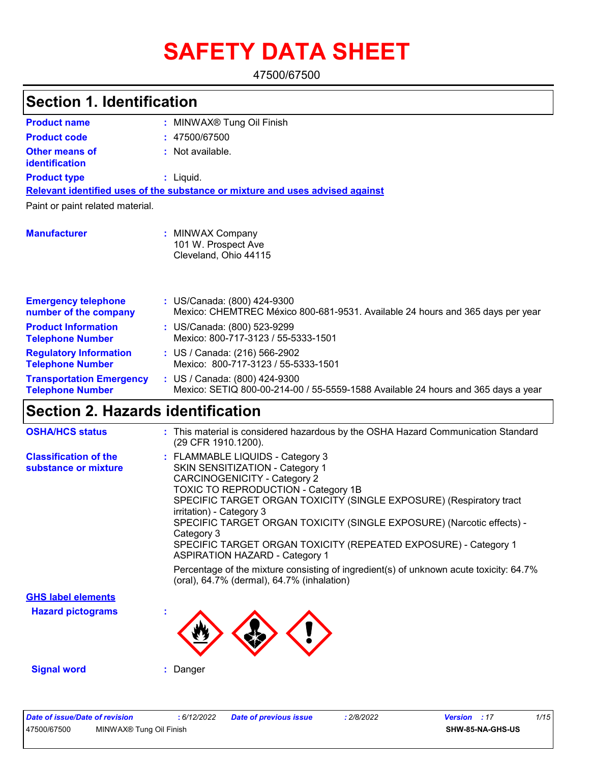# **SAFETY DATA SHEET**

47500/67500

| <b>Section 1. Identification</b>                           |                                                                                                                                                                                                                                                                                                                                                                                                                       |
|------------------------------------------------------------|-----------------------------------------------------------------------------------------------------------------------------------------------------------------------------------------------------------------------------------------------------------------------------------------------------------------------------------------------------------------------------------------------------------------------|
| <b>Product name</b>                                        | : MINWAX <sup>®</sup> Tung Oil Finish                                                                                                                                                                                                                                                                                                                                                                                 |
| <b>Product code</b>                                        | : 47500/67500                                                                                                                                                                                                                                                                                                                                                                                                         |
| <b>Other means of</b><br>identification                    | : Not available.                                                                                                                                                                                                                                                                                                                                                                                                      |
| <b>Product type</b>                                        | : Liquid.                                                                                                                                                                                                                                                                                                                                                                                                             |
|                                                            | Relevant identified uses of the substance or mixture and uses advised against                                                                                                                                                                                                                                                                                                                                         |
| Paint or paint related material.                           |                                                                                                                                                                                                                                                                                                                                                                                                                       |
| <b>Manufacturer</b>                                        | : MINWAX Company<br>101 W. Prospect Ave<br>Cleveland, Ohio 44115                                                                                                                                                                                                                                                                                                                                                      |
| <b>Emergency telephone</b><br>number of the company        | : US/Canada: (800) 424-9300<br>Mexico: CHEMTREC México 800-681-9531. Available 24 hours and 365 days per year                                                                                                                                                                                                                                                                                                         |
| <b>Product Information</b><br><b>Telephone Number</b>      | : US/Canada: (800) 523-9299<br>Mexico: 800-717-3123 / 55-5333-1501                                                                                                                                                                                                                                                                                                                                                    |
| <b>Regulatory Information</b><br><b>Telephone Number</b>   | : US / Canada: (216) 566-2902<br>Mexico: 800-717-3123 / 55-5333-1501                                                                                                                                                                                                                                                                                                                                                  |
| <b>Transportation Emergency</b><br><b>Telephone Number</b> | : US / Canada: (800) 424-9300<br>Mexico: SETIQ 800-00-214-00 / 55-5559-1588 Available 24 hours and 365 days a year                                                                                                                                                                                                                                                                                                    |
| <b>Section 2. Hazards identification</b>                   |                                                                                                                                                                                                                                                                                                                                                                                                                       |
| <b>OSHA/HCS status</b>                                     | : This material is considered hazardous by the OSHA Hazard Communication Standard<br>(29 CFR 1910.1200).                                                                                                                                                                                                                                                                                                              |
| <b>Classification of the</b><br>substance or mixture       | : FLAMMABLE LIQUIDS - Category 3<br>SKIN SENSITIZATION - Category 1<br><b>CARCINOGENICITY - Category 2</b><br><b>TOXIC TO REPRODUCTION - Category 1B</b><br>SPECIFIC TARGET ORGAN TOXICITY (SINGLE EXPOSURE) (Respiratory tract<br>irritation) - Category 3<br>SPECIFIC TARGET ORGAN TOXICITY (SINGLE EXPOSURE) (Narcotic effects) -<br>Category 3<br>SPECIFIC TARGET ORGAN TOXICITY (REPEATED EXPOSURE) - Category 1 |

ASPIRATION HAZARD - Category 1 **Hazard pictograms : GHS label elements** Percentage of the mixture consisting of ingredient(s) of unknown acute toxicity: 64.7% (oral), 64.7% (dermal), 64.7% (inhalation)

**Signal word :** Danger

| Date of issue/Date of revision |                                     | : 6/12/2022 | <b>Date of previous issue</b> | 2/8/2022 | <b>Version</b> : 17 |                  | 1/15 |
|--------------------------------|-------------------------------------|-------------|-------------------------------|----------|---------------------|------------------|------|
| 47500/67500                    | MINWAX <sup>®</sup> Tung Oil Finish |             |                               |          |                     | SHW-85-NA-GHS-US |      |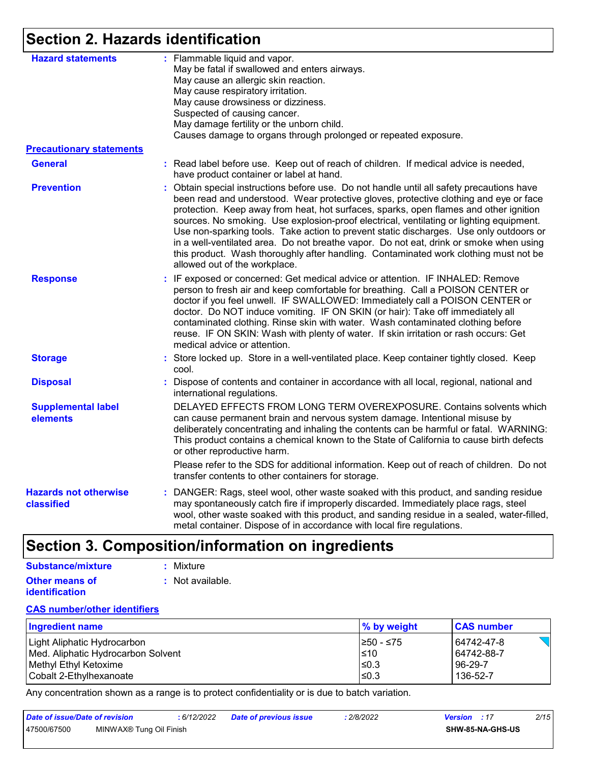# **Section 2. Hazards identification**

| <b>Hazard statements</b>                   | : Flammable liquid and vapor.<br>May be fatal if swallowed and enters airways.<br>May cause an allergic skin reaction.<br>May cause respiratory irritation.<br>May cause drowsiness or dizziness.<br>Suspected of causing cancer.<br>May damage fertility or the unborn child.<br>Causes damage to organs through prolonged or repeated exposure.                                                                                                                                                                                                                                                                                                                                 |  |  |  |
|--------------------------------------------|-----------------------------------------------------------------------------------------------------------------------------------------------------------------------------------------------------------------------------------------------------------------------------------------------------------------------------------------------------------------------------------------------------------------------------------------------------------------------------------------------------------------------------------------------------------------------------------------------------------------------------------------------------------------------------------|--|--|--|
| <b>Precautionary statements</b>            |                                                                                                                                                                                                                                                                                                                                                                                                                                                                                                                                                                                                                                                                                   |  |  |  |
| <b>General</b>                             | : Read label before use. Keep out of reach of children. If medical advice is needed,<br>have product container or label at hand.                                                                                                                                                                                                                                                                                                                                                                                                                                                                                                                                                  |  |  |  |
| <b>Prevention</b>                          | Obtain special instructions before use. Do not handle until all safety precautions have<br>been read and understood. Wear protective gloves, protective clothing and eye or face<br>protection. Keep away from heat, hot surfaces, sparks, open flames and other ignition<br>sources. No smoking. Use explosion-proof electrical, ventilating or lighting equipment.<br>Use non-sparking tools. Take action to prevent static discharges. Use only outdoors or<br>in a well-ventilated area. Do not breathe vapor. Do not eat, drink or smoke when using<br>this product. Wash thoroughly after handling. Contaminated work clothing must not be<br>allowed out of the workplace. |  |  |  |
| <b>Response</b>                            | : IF exposed or concerned: Get medical advice or attention. IF INHALED: Remove<br>person to fresh air and keep comfortable for breathing. Call a POISON CENTER or<br>doctor if you feel unwell. IF SWALLOWED: Immediately call a POISON CENTER or<br>doctor. Do NOT induce vomiting. IF ON SKIN (or hair): Take off immediately all<br>contaminated clothing. Rinse skin with water. Wash contaminated clothing before<br>reuse. IF ON SKIN: Wash with plenty of water. If skin irritation or rash occurs: Get<br>medical advice or attention.                                                                                                                                    |  |  |  |
| <b>Storage</b>                             | : Store locked up. Store in a well-ventilated place. Keep container tightly closed. Keep<br>cool.                                                                                                                                                                                                                                                                                                                                                                                                                                                                                                                                                                                 |  |  |  |
| <b>Disposal</b>                            | : Dispose of contents and container in accordance with all local, regional, national and<br>international regulations.                                                                                                                                                                                                                                                                                                                                                                                                                                                                                                                                                            |  |  |  |
| <b>Supplemental label</b><br>elements      | DELAYED EFFECTS FROM LONG TERM OVEREXPOSURE. Contains solvents which<br>can cause permanent brain and nervous system damage. Intentional misuse by<br>deliberately concentrating and inhaling the contents can be harmful or fatal. WARNING:<br>This product contains a chemical known to the State of California to cause birth defects<br>or other reproductive harm.                                                                                                                                                                                                                                                                                                           |  |  |  |
|                                            | Please refer to the SDS for additional information. Keep out of reach of children. Do not<br>transfer contents to other containers for storage.                                                                                                                                                                                                                                                                                                                                                                                                                                                                                                                                   |  |  |  |
| <b>Hazards not otherwise</b><br>classified | : DANGER: Rags, steel wool, other waste soaked with this product, and sanding residue<br>may spontaneously catch fire if improperly discarded. Immediately place rags, steel<br>wool, other waste soaked with this product, and sanding residue in a sealed, water-filled,<br>metal container. Dispose of in accordance with local fire regulations.                                                                                                                                                                                                                                                                                                                              |  |  |  |

# **Section 3. Composition/information on ingredients**

| Substance/mixture     | : Mixture        |
|-----------------------|------------------|
| <b>Other means of</b> | : Not available. |
| <i>identification</i> |                  |

#### **CAS number/other identifiers**

| Ingredient name                    | $\%$ by weight | <b>CAS number</b> |
|------------------------------------|----------------|-------------------|
| Light Aliphatic Hydrocarbon        | I≥50 - ≤75     | 64742-47-8        |
| Med. Aliphatic Hydrocarbon Solvent | ≤10            | 64742-88-7        |
| Methyl Ethyl Ketoxime              | l≤0.3          | 96-29-7           |
| Cobalt 2-Ethylhexanoate            | $≤0.3$         | 136-52-7          |

Any concentration shown as a range is to protect confidentiality or is due to batch variation.

| Date of issue/Date of revision |                         | 6/12/2022 | <b>Date of previous issue</b> | 2/8/2022 | <b>Version</b> : 17 |                         | 2/15 |
|--------------------------------|-------------------------|-----------|-------------------------------|----------|---------------------|-------------------------|------|
| 47500/67500                    | MINWAX® Tung Oil Finish |           |                               |          |                     | <b>SHW-85-NA-GHS-US</b> |      |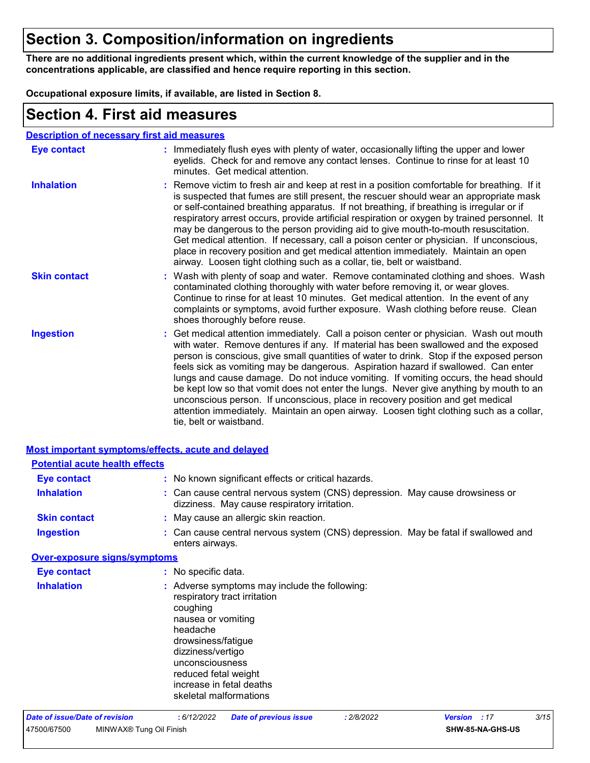## **Section 3. Composition/information on ingredients**

**There are no additional ingredients present which, within the current knowledge of the supplier and in the concentrations applicable, are classified and hence require reporting in this section.**

**Occupational exposure limits, if available, are listed in Section 8.**

### **Section 4. First aid measures**

#### **Description of necessary first aid measures**

| <b>Eye contact</b>  | : Immediately flush eyes with plenty of water, occasionally lifting the upper and lower<br>eyelids. Check for and remove any contact lenses. Continue to rinse for at least 10<br>minutes. Get medical attention.                                                                                                                                                                                                                                                                                                                                                                                                                                                                                                                                       |
|---------------------|---------------------------------------------------------------------------------------------------------------------------------------------------------------------------------------------------------------------------------------------------------------------------------------------------------------------------------------------------------------------------------------------------------------------------------------------------------------------------------------------------------------------------------------------------------------------------------------------------------------------------------------------------------------------------------------------------------------------------------------------------------|
| <b>Inhalation</b>   | : Remove victim to fresh air and keep at rest in a position comfortable for breathing. If it<br>is suspected that fumes are still present, the rescuer should wear an appropriate mask<br>or self-contained breathing apparatus. If not breathing, if breathing is irregular or if<br>respiratory arrest occurs, provide artificial respiration or oxygen by trained personnel. It<br>may be dangerous to the person providing aid to give mouth-to-mouth resuscitation.<br>Get medical attention. If necessary, call a poison center or physician. If unconscious,<br>place in recovery position and get medical attention immediately. Maintain an open<br>airway. Loosen tight clothing such as a collar, tie, belt or waistband.                    |
| <b>Skin contact</b> | : Wash with plenty of soap and water. Remove contaminated clothing and shoes. Wash<br>contaminated clothing thoroughly with water before removing it, or wear gloves.<br>Continue to rinse for at least 10 minutes. Get medical attention. In the event of any<br>complaints or symptoms, avoid further exposure. Wash clothing before reuse. Clean<br>shoes thoroughly before reuse.                                                                                                                                                                                                                                                                                                                                                                   |
| <b>Ingestion</b>    | : Get medical attention immediately. Call a poison center or physician. Wash out mouth<br>with water. Remove dentures if any. If material has been swallowed and the exposed<br>person is conscious, give small quantities of water to drink. Stop if the exposed person<br>feels sick as vomiting may be dangerous. Aspiration hazard if swallowed. Can enter<br>lungs and cause damage. Do not induce vomiting. If vomiting occurs, the head should<br>be kept low so that vomit does not enter the lungs. Never give anything by mouth to an<br>unconscious person. If unconscious, place in recovery position and get medical<br>attention immediately. Maintain an open airway. Loosen tight clothing such as a collar,<br>tie, belt or waistband. |

| <b>Most important symptoms/effects, acute and delayed</b> |                                                                                                                                                                                                                                                                         |
|-----------------------------------------------------------|-------------------------------------------------------------------------------------------------------------------------------------------------------------------------------------------------------------------------------------------------------------------------|
| <b>Potential acute health effects</b>                     |                                                                                                                                                                                                                                                                         |
| <b>Eye contact</b>                                        | : No known significant effects or critical hazards.                                                                                                                                                                                                                     |
| <b>Inhalation</b>                                         | : Can cause central nervous system (CNS) depression. May cause drowsiness or<br>dizziness. May cause respiratory irritation.                                                                                                                                            |
| <b>Skin contact</b>                                       | : May cause an allergic skin reaction.                                                                                                                                                                                                                                  |
| <b>Ingestion</b>                                          | : Can cause central nervous system (CNS) depression. May be fatal if swallowed and<br>enters airways.                                                                                                                                                                   |
| <b>Over-exposure signs/symptoms</b>                       |                                                                                                                                                                                                                                                                         |
| <b>Eye contact</b>                                        | : No specific data.                                                                                                                                                                                                                                                     |
| <b>Inhalation</b>                                         | : Adverse symptoms may include the following:<br>respiratory tract irritation<br>coughing<br>nausea or vomiting<br>headache<br>drowsiness/fatigue<br>dizziness/vertigo<br>unconsciousness<br>reduced fetal weight<br>increase in fetal deaths<br>skeletal malformations |
| <b>Date of issue/Date of revision</b>                     | 3/15<br>: 2/8/2022<br>: 6/12/2022<br><b>Date of previous issue</b><br>:17<br><b>Version</b>                                                                                                                                                                             |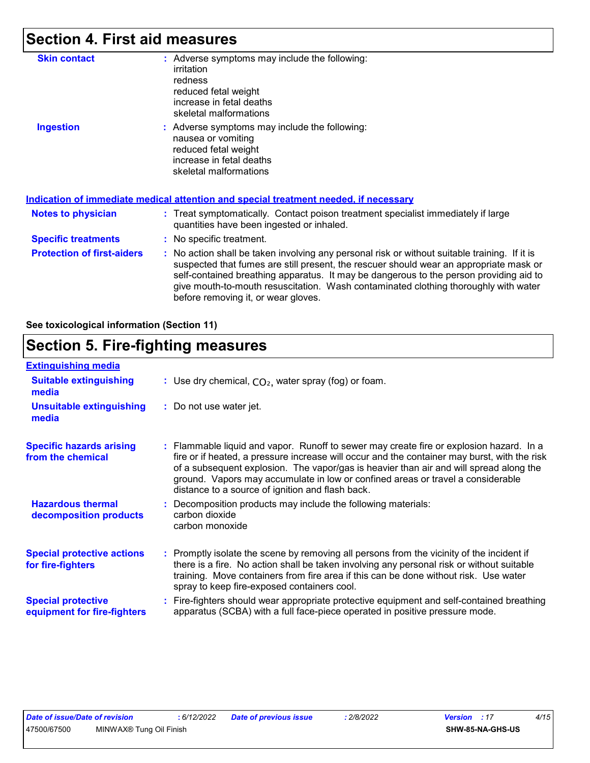# **Section 4. First aid measures**

| <b>Skin contact</b>               | : Adverse symptoms may include the following:<br>irritation<br>redness<br>reduced fetal weight<br>increase in fetal deaths<br>skeletal malformations                                                                                                                                                                                                                                                            |
|-----------------------------------|-----------------------------------------------------------------------------------------------------------------------------------------------------------------------------------------------------------------------------------------------------------------------------------------------------------------------------------------------------------------------------------------------------------------|
| <b>Ingestion</b>                  | : Adverse symptoms may include the following:<br>nausea or vomiting<br>reduced fetal weight<br>increase in fetal deaths<br>skeletal malformations<br><u>Indication of immediate medical attention and special treatment needed, if necessary</u>                                                                                                                                                                |
|                                   |                                                                                                                                                                                                                                                                                                                                                                                                                 |
| Notes to physician                | : Treat symptomatically. Contact poison treatment specialist immediately if large<br>quantities have been ingested or inhaled.                                                                                                                                                                                                                                                                                  |
| <b>Specific treatments</b>        | : No specific treatment.                                                                                                                                                                                                                                                                                                                                                                                        |
| <b>Protection of first-aiders</b> | : No action shall be taken involving any personal risk or without suitable training. If it is<br>suspected that fumes are still present, the rescuer should wear an appropriate mask or<br>self-contained breathing apparatus. It may be dangerous to the person providing aid to<br>give mouth-to-mouth resuscitation. Wash contaminated clothing thoroughly with water<br>before removing it, or wear gloves. |

**See toxicological information (Section 11)**

### **Section 5. Fire-fighting measures**

| <b>Extinguishing media</b>                               |                                                                                                                                                                                                                                                                                                                                                                                                                          |
|----------------------------------------------------------|--------------------------------------------------------------------------------------------------------------------------------------------------------------------------------------------------------------------------------------------------------------------------------------------------------------------------------------------------------------------------------------------------------------------------|
| <b>Suitable extinguishing</b><br>media                   | : Use dry chemical, $CO2$ , water spray (fog) or foam.                                                                                                                                                                                                                                                                                                                                                                   |
| <b>Unsuitable extinguishing</b><br>media                 | : Do not use water jet.                                                                                                                                                                                                                                                                                                                                                                                                  |
| <b>Specific hazards arising</b><br>from the chemical     | : Flammable liquid and vapor. Runoff to sewer may create fire or explosion hazard. In a<br>fire or if heated, a pressure increase will occur and the container may burst, with the risk<br>of a subsequent explosion. The vapor/gas is heavier than air and will spread along the<br>ground. Vapors may accumulate in low or confined areas or travel a considerable<br>distance to a source of ignition and flash back. |
| <b>Hazardous thermal</b><br>decomposition products       | Decomposition products may include the following materials:<br>carbon dioxide<br>carbon monoxide                                                                                                                                                                                                                                                                                                                         |
| <b>Special protective actions</b><br>for fire-fighters   | : Promptly isolate the scene by removing all persons from the vicinity of the incident if<br>there is a fire. No action shall be taken involving any personal risk or without suitable<br>training. Move containers from fire area if this can be done without risk. Use water<br>spray to keep fire-exposed containers cool.                                                                                            |
| <b>Special protective</b><br>equipment for fire-fighters | Fire-fighters should wear appropriate protective equipment and self-contained breathing<br>apparatus (SCBA) with a full face-piece operated in positive pressure mode.                                                                                                                                                                                                                                                   |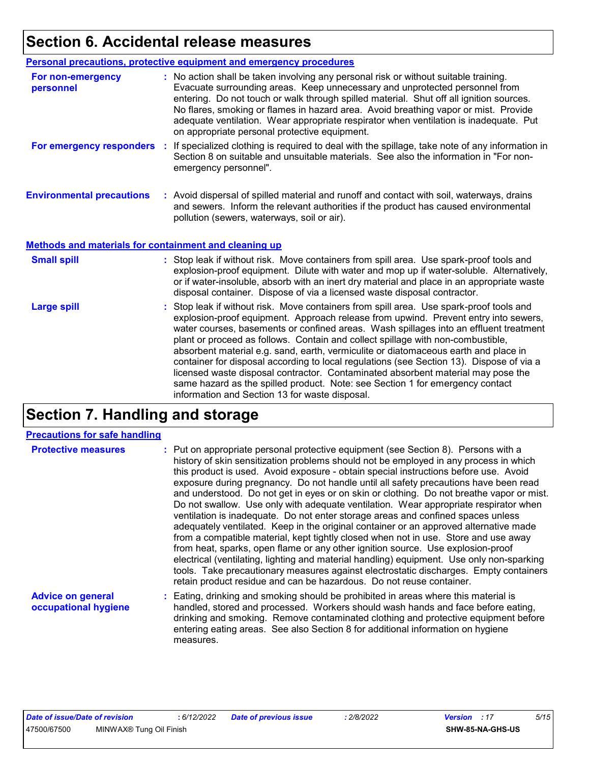# **Section 6. Accidental release measures**

|                                                       | Personal precautions, protective equipment and emergency procedures                                                                                                                                                                                                                                                                                                                                                                                                                                                                                                                                                                                                                                                |
|-------------------------------------------------------|--------------------------------------------------------------------------------------------------------------------------------------------------------------------------------------------------------------------------------------------------------------------------------------------------------------------------------------------------------------------------------------------------------------------------------------------------------------------------------------------------------------------------------------------------------------------------------------------------------------------------------------------------------------------------------------------------------------------|
| For non-emergency<br>personnel                        | : No action shall be taken involving any personal risk or without suitable training.<br>Evacuate surrounding areas. Keep unnecessary and unprotected personnel from<br>entering. Do not touch or walk through spilled material. Shut off all ignition sources.<br>No flares, smoking or flames in hazard area. Avoid breathing vapor or mist. Provide<br>adequate ventilation. Wear appropriate respirator when ventilation is inadequate. Put<br>on appropriate personal protective equipment.                                                                                                                                                                                                                    |
| For emergency responders                              | : If specialized clothing is required to deal with the spillage, take note of any information in<br>Section 8 on suitable and unsuitable materials. See also the information in "For non-<br>emergency personnel".                                                                                                                                                                                                                                                                                                                                                                                                                                                                                                 |
| <b>Environmental precautions</b>                      | : Avoid dispersal of spilled material and runoff and contact with soil, waterways, drains<br>and sewers. Inform the relevant authorities if the product has caused environmental<br>pollution (sewers, waterways, soil or air).                                                                                                                                                                                                                                                                                                                                                                                                                                                                                    |
| Methods and materials for containment and cleaning up |                                                                                                                                                                                                                                                                                                                                                                                                                                                                                                                                                                                                                                                                                                                    |
| <b>Small spill</b>                                    | : Stop leak if without risk. Move containers from spill area. Use spark-proof tools and<br>explosion-proof equipment. Dilute with water and mop up if water-soluble. Alternatively,<br>or if water-insoluble, absorb with an inert dry material and place in an appropriate waste<br>disposal container. Dispose of via a licensed waste disposal contractor.                                                                                                                                                                                                                                                                                                                                                      |
| <b>Large spill</b>                                    | : Stop leak if without risk. Move containers from spill area. Use spark-proof tools and<br>explosion-proof equipment. Approach release from upwind. Prevent entry into sewers,<br>water courses, basements or confined areas. Wash spillages into an effluent treatment<br>plant or proceed as follows. Contain and collect spillage with non-combustible,<br>absorbent material e.g. sand, earth, vermiculite or diatomaceous earth and place in<br>container for disposal according to local regulations (see Section 13). Dispose of via a<br>licensed waste disposal contractor. Contaminated absorbent material may pose the<br>same hazard as the spilled product. Note: see Section 1 for emergency contact |

# **Section 7. Handling and storage**

#### **Precautions for safe handling**

| <b>Protective measures</b>                       | : Put on appropriate personal protective equipment (see Section 8). Persons with a<br>history of skin sensitization problems should not be employed in any process in which<br>this product is used. Avoid exposure - obtain special instructions before use. Avoid<br>exposure during pregnancy. Do not handle until all safety precautions have been read<br>and understood. Do not get in eyes or on skin or clothing. Do not breathe vapor or mist.<br>Do not swallow. Use only with adequate ventilation. Wear appropriate respirator when<br>ventilation is inadequate. Do not enter storage areas and confined spaces unless<br>adequately ventilated. Keep in the original container or an approved alternative made<br>from a compatible material, kept tightly closed when not in use. Store and use away<br>from heat, sparks, open flame or any other ignition source. Use explosion-proof<br>electrical (ventilating, lighting and material handling) equipment. Use only non-sparking<br>tools. Take precautionary measures against electrostatic discharges. Empty containers<br>retain product residue and can be hazardous. Do not reuse container. |
|--------------------------------------------------|----------------------------------------------------------------------------------------------------------------------------------------------------------------------------------------------------------------------------------------------------------------------------------------------------------------------------------------------------------------------------------------------------------------------------------------------------------------------------------------------------------------------------------------------------------------------------------------------------------------------------------------------------------------------------------------------------------------------------------------------------------------------------------------------------------------------------------------------------------------------------------------------------------------------------------------------------------------------------------------------------------------------------------------------------------------------------------------------------------------------------------------------------------------------|
| <b>Advice on general</b><br>occupational hygiene | : Eating, drinking and smoking should be prohibited in areas where this material is<br>handled, stored and processed. Workers should wash hands and face before eating,<br>drinking and smoking. Remove contaminated clothing and protective equipment before<br>entering eating areas. See also Section 8 for additional information on hygiene                                                                                                                                                                                                                                                                                                                                                                                                                                                                                                                                                                                                                                                                                                                                                                                                                     |

measures.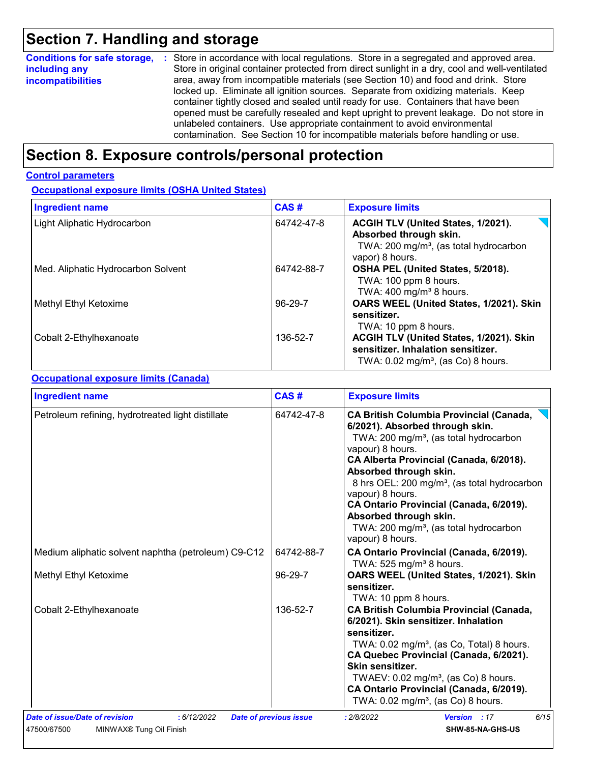# **Section 7. Handling and storage**

| <b>Conditions for safe storage,</b> | : Store in accordance with local regulations. Store in a segregated and approved area.        |  |  |  |
|-------------------------------------|-----------------------------------------------------------------------------------------------|--|--|--|
| including any                       | Store in original container protected from direct sunlight in a dry, cool and well-ventilated |  |  |  |
| <i>incompatibilities</i>            | area, away from incompatible materials (see Section 10) and food and drink. Store             |  |  |  |
|                                     | locked up. Eliminate all ignition sources. Separate from oxidizing materials. Keep            |  |  |  |
|                                     | container tightly closed and sealed until ready for use. Containers that have been            |  |  |  |
|                                     | opened must be carefully resealed and kept upright to prevent leakage. Do not store in        |  |  |  |
|                                     | unlabeled containers. Use appropriate containment to avoid environmental                      |  |  |  |
|                                     | contamination. See Section 10 for incompatible materials before handling or use.              |  |  |  |

# **Section 8. Exposure controls/personal protection**

#### **Control parameters**

**Occupational exposure limits (OSHA United States)**

| <b>Ingredient name</b>             | <b>CAS#</b> | <b>Exposure limits</b>                                                                                                                |
|------------------------------------|-------------|---------------------------------------------------------------------------------------------------------------------------------------|
| Light Aliphatic Hydrocarbon        | 64742-47-8  | ACGIH TLV (United States, 1/2021).<br>Absorbed through skin.<br>TWA: 200 mg/m <sup>3</sup> , (as total hydrocarbon<br>vapor) 8 hours. |
| Med. Aliphatic Hydrocarbon Solvent | 64742-88-7  | OSHA PEL (United States, 5/2018).<br>TWA: 100 ppm 8 hours.<br>TWA: $400 \text{ mg/m}^3$ 8 hours.                                      |
| Methyl Ethyl Ketoxime              | 96-29-7     | OARS WEEL (United States, 1/2021). Skin<br>sensitizer.<br>TWA: 10 ppm 8 hours.                                                        |
| Cobalt 2-Ethylhexanoate            | 136-52-7    | ACGIH TLV (United States, 1/2021). Skin<br>sensitizer. Inhalation sensitizer.<br>TWA: $0.02$ mg/m <sup>3</sup> , (as Co) 8 hours.     |

#### **Occupational exposure limits (Canada)**

| Petroleum refining, hydrotreated light distillate<br>64742-47-8<br>64742-88-7<br>Medium aliphatic solvent naphtha (petroleum) C9-C12<br>96-29-7<br>Methyl Ethyl Ketoxime<br>136-52-7<br>Cobalt 2-Ethylhexanoate | <b>Exposure limits</b>                                                                                                                                                                                                                                                                                                                                                                                                                                          |
|-----------------------------------------------------------------------------------------------------------------------------------------------------------------------------------------------------------------|-----------------------------------------------------------------------------------------------------------------------------------------------------------------------------------------------------------------------------------------------------------------------------------------------------------------------------------------------------------------------------------------------------------------------------------------------------------------|
|                                                                                                                                                                                                                 | <b>CA British Columbia Provincial (Canada,</b><br>6/2021). Absorbed through skin.<br>TWA: 200 mg/m <sup>3</sup> , (as total hydrocarbon<br>vapour) 8 hours.<br>CA Alberta Provincial (Canada, 6/2018).<br>Absorbed through skin.<br>8 hrs OEL: 200 mg/m <sup>3</sup> , (as total hydrocarbon<br>vapour) 8 hours.<br>CA Ontario Provincial (Canada, 6/2019).<br>Absorbed through skin.<br>TWA: 200 mg/m <sup>3</sup> , (as total hydrocarbon<br>vapour) 8 hours. |
|                                                                                                                                                                                                                 | CA Ontario Provincial (Canada, 6/2019).<br>TWA: 525 mg/m <sup>3</sup> 8 hours.                                                                                                                                                                                                                                                                                                                                                                                  |
|                                                                                                                                                                                                                 | OARS WEEL (United States, 1/2021). Skin<br>sensitizer.<br>TWA: 10 ppm 8 hours.                                                                                                                                                                                                                                                                                                                                                                                  |
|                                                                                                                                                                                                                 | <b>CA British Columbia Provincial (Canada,</b><br>6/2021). Skin sensitizer. Inhalation<br>sensitizer.<br>TWA: 0.02 mg/m <sup>3</sup> , (as Co, Total) 8 hours.<br>CA Quebec Provincial (Canada, 6/2021).<br>Skin sensitizer.<br>TWAEV: 0.02 mg/m <sup>3</sup> , (as Co) 8 hours.<br>CA Ontario Provincial (Canada, 6/2019).<br>TWA: 0.02 mg/m <sup>3</sup> , (as Co) 8 hours.                                                                                   |
| Date of issue/Date of revision<br>: 6/12/2022<br>: 2/8/2022<br><b>Date of previous issue</b>                                                                                                                    | 6/15<br>Version : 17                                                                                                                                                                                                                                                                                                                                                                                                                                            |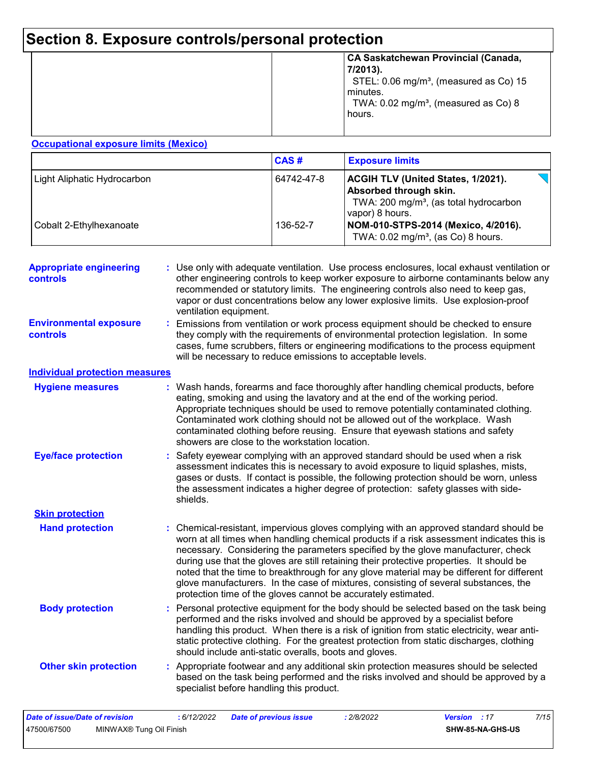# **Section 8. Exposure controls/personal protection**

| minutes. | STEL: 0.06 mg/m <sup>3</sup> , (measured as Co) 15 |
|----------|----------------------------------------------------|
| hours.   | TWA: 0.02 mg/m <sup>3</sup> , (measured as Co) 8   |

#### **Occupational exposure limits (Mexico)**

|                             | CAS#       | <b>Exposure limits</b>                                                                                                                       |
|-----------------------------|------------|----------------------------------------------------------------------------------------------------------------------------------------------|
| Light Aliphatic Hydrocarbon | 64742-47-8 | <b>ACGIH TLV (United States, 1/2021).</b><br>Absorbed through skin.<br>TWA: 200 mg/m <sup>3</sup> , (as total hydrocarbon<br>vapor) 8 hours. |
| Cobalt 2-Ethylhexanoate     | 136-52-7   | NOM-010-STPS-2014 (Mexico, 4/2016).<br>TWA: $0.02$ mg/m <sup>3</sup> , (as Co) 8 hours.                                                      |

| <b>Appropriate engineering</b><br>controls | Use only with adequate ventilation. Use process enclosures, local exhaust ventilation or<br>other engineering controls to keep worker exposure to airborne contaminants below any<br>recommended or statutory limits. The engineering controls also need to keep gas,<br>vapor or dust concentrations below any lower explosive limits. Use explosion-proof<br>ventilation equipment.                                                                                                                                                                                                                                |
|--------------------------------------------|----------------------------------------------------------------------------------------------------------------------------------------------------------------------------------------------------------------------------------------------------------------------------------------------------------------------------------------------------------------------------------------------------------------------------------------------------------------------------------------------------------------------------------------------------------------------------------------------------------------------|
| <b>Environmental exposure</b><br>controls  | Emissions from ventilation or work process equipment should be checked to ensure<br>they comply with the requirements of environmental protection legislation. In some<br>cases, fume scrubbers, filters or engineering modifications to the process equipment<br>will be necessary to reduce emissions to acceptable levels.                                                                                                                                                                                                                                                                                        |
| <b>Individual protection measures</b>      |                                                                                                                                                                                                                                                                                                                                                                                                                                                                                                                                                                                                                      |
| <b>Hygiene measures</b>                    | Wash hands, forearms and face thoroughly after handling chemical products, before<br>eating, smoking and using the lavatory and at the end of the working period.<br>Appropriate techniques should be used to remove potentially contaminated clothing.<br>Contaminated work clothing should not be allowed out of the workplace. Wash<br>contaminated clothing before reusing. Ensure that eyewash stations and safety<br>showers are close to the workstation location.                                                                                                                                            |
| <b>Eye/face protection</b>                 | Safety eyewear complying with an approved standard should be used when a risk<br>assessment indicates this is necessary to avoid exposure to liquid splashes, mists,<br>gases or dusts. If contact is possible, the following protection should be worn, unless<br>the assessment indicates a higher degree of protection: safety glasses with side-<br>shields.                                                                                                                                                                                                                                                     |
| <b>Skin protection</b>                     |                                                                                                                                                                                                                                                                                                                                                                                                                                                                                                                                                                                                                      |
| <b>Hand protection</b>                     | Chemical-resistant, impervious gloves complying with an approved standard should be<br>worn at all times when handling chemical products if a risk assessment indicates this is<br>necessary. Considering the parameters specified by the glove manufacturer, check<br>during use that the gloves are still retaining their protective properties. It should be<br>noted that the time to breakthrough for any glove material may be different for different<br>glove manufacturers. In the case of mixtures, consisting of several substances, the<br>protection time of the gloves cannot be accurately estimated. |
| <b>Body protection</b>                     | Personal protective equipment for the body should be selected based on the task being<br>performed and the risks involved and should be approved by a specialist before<br>handling this product. When there is a risk of ignition from static electricity, wear anti-<br>static protective clothing. For the greatest protection from static discharges, clothing<br>should include anti-static overalls, boots and gloves.                                                                                                                                                                                         |
| <b>Other skin protection</b>               | : Appropriate footwear and any additional skin protection measures should be selected<br>based on the task being performed and the risks involved and should be approved by a<br>specialist before handling this product.                                                                                                                                                                                                                                                                                                                                                                                            |
|                                            |                                                                                                                                                                                                                                                                                                                                                                                                                                                                                                                                                                                                                      |

| Date of issue/Date of revision |                                     | : 6/12/2022 | Date of previous issue | 2/8/2022 | <b>Version</b> : 17 |                  | 7/15 |
|--------------------------------|-------------------------------------|-------------|------------------------|----------|---------------------|------------------|------|
| 47500/67500                    | MINWAX <sup>®</sup> Tung Oil Finish |             |                        |          |                     | SHW-85-NA-GHS-US |      |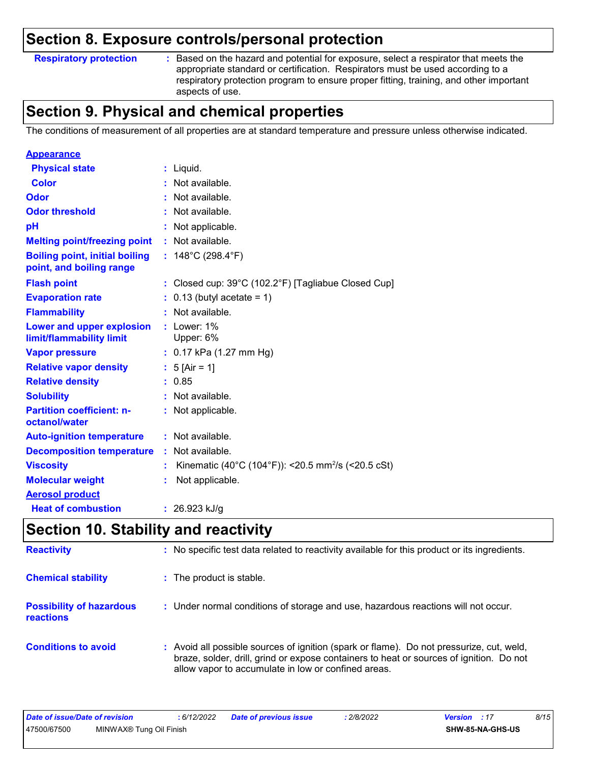### **Section 8. Exposure controls/personal protection**

**Respiratory protection :**

Based on the hazard and potential for exposure, select a respirator that meets the appropriate standard or certification. Respirators must be used according to a respiratory protection program to ensure proper fitting, training, and other important aspects of use.

# **Section 9. Physical and chemical properties**

The conditions of measurement of all properties are at standard temperature and pressure unless otherwise indicated.

| <b>Appearance</b>                                                 |                                                                |
|-------------------------------------------------------------------|----------------------------------------------------------------|
| <b>Physical state</b>                                             | : Liquid.                                                      |
| <b>Color</b>                                                      | : Not available.                                               |
| Odor                                                              | : Not available.                                               |
| <b>Odor threshold</b>                                             | : Not available.                                               |
| pH                                                                | : Not applicable.                                              |
| <b>Melting point/freezing point</b>                               | : Not available.                                               |
| <b>Boiling point, initial boiling</b><br>point, and boiling range | : $148^{\circ}$ C (298.4 $^{\circ}$ F)                         |
| <b>Flash point</b>                                                | : Closed cup: 39°C (102.2°F) [Tagliabue Closed Cup]            |
| <b>Evaporation rate</b>                                           | $: 0.13$ (butyl acetate = 1)                                   |
| <b>Flammability</b>                                               | : Not available.                                               |
| Lower and upper explosion<br>limit/flammability limit             | $:$ Lower: $1\%$<br>Upper: 6%                                  |
| <b>Vapor pressure</b>                                             | : $0.17$ kPa (1.27 mm Hg)                                      |
| <b>Relative vapor density</b>                                     | : $5$ [Air = 1]                                                |
| <b>Relative density</b>                                           | : 0.85                                                         |
| <b>Solubility</b>                                                 | : Not available.                                               |
| <b>Partition coefficient: n-</b><br>octanol/water                 | : Not applicable.                                              |
| <b>Auto-ignition temperature</b>                                  | : Not available.                                               |
| <b>Decomposition temperature</b>                                  | : Not available.                                               |
| <b>Viscosity</b>                                                  | Kinematic (40°C (104°F)): <20.5 mm <sup>2</sup> /s (<20.5 cSt) |
| <b>Molecular weight</b>                                           | Not applicable.                                                |
| <b>Aerosol product</b>                                            |                                                                |
| <b>Heat of combustion</b>                                         | : $26.923$ kJ/g                                                |

## **Section 10. Stability and reactivity**

| <b>Reactivity</b>                            | : No specific test data related to reactivity available for this product or its ingredients.                                                                                                                                               |
|----------------------------------------------|--------------------------------------------------------------------------------------------------------------------------------------------------------------------------------------------------------------------------------------------|
| <b>Chemical stability</b>                    | : The product is stable.                                                                                                                                                                                                                   |
| <b>Possibility of hazardous</b><br>reactions | : Under normal conditions of storage and use, hazardous reactions will not occur.                                                                                                                                                          |
| <b>Conditions to avoid</b>                   | : Avoid all possible sources of ignition (spark or flame). Do not pressurize, cut, weld,<br>braze, solder, drill, grind or expose containers to heat or sources of ignition. Do not<br>allow vapor to accumulate in low or confined areas. |

| Date of issue/Date of revision |                         | : 6/12/2022 | <b>Date of previous issue</b> | 2/8/2022 | <b>Version</b> : 17 |                  | 8/15 |
|--------------------------------|-------------------------|-------------|-------------------------------|----------|---------------------|------------------|------|
| 47500/67500                    | MINWAX® Tung Oil Finish |             |                               |          |                     | SHW-85-NA-GHS-US |      |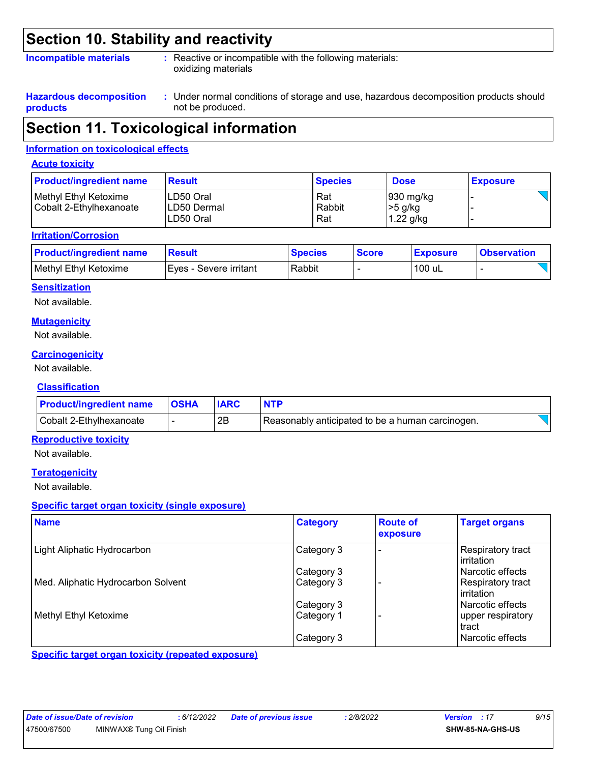### **Section 10. Stability and reactivity**

#### **Incompatible materials :**

: Reactive or incompatible with the following materials: oxidizing materials

**Hazardous decomposition products**

Under normal conditions of storage and use, hazardous decomposition products should **:** not be produced.

### **Section 11. Toxicological information**

#### **Information on toxicological effects**

#### **Acute toxicity**

| <b>Product/ingredient name</b>                   | <b>Result</b>                         | <b>Species</b>       | <b>Dose</b>                                    | <b>Exposure</b> |
|--------------------------------------------------|---------------------------------------|----------------------|------------------------------------------------|-----------------|
| Methyl Ethyl Ketoxime<br>Cobalt 2-Ethylhexanoate | LD50 Oral<br>LD50 Dermal<br>LD50 Oral | Rat<br>Rabbit<br>Rat | $ 930 \text{ mg/kg} $<br> >5 g/kg<br>1.22 g/kg |                 |

#### **Irritation/Corrosion**

| <b>Product/ingredient name</b> | <b>Result</b>          | <b>Species</b> | <b>Score</b> | <b>Exposure</b> | <b>Observation</b> |
|--------------------------------|------------------------|----------------|--------------|-----------------|--------------------|
| Methyl Ethyl Ketoxime          | Eves - Severe irritant | Rabbit         |              | 100 uL          |                    |

#### **Sensitization**

Not available.

#### **Mutagenicity**

Not available.

#### **Carcinogenicity**

Not available.

#### **Classification**

| <b>Product/ingredient name   OSHA</b> | <b>IARC</b> | <b>NTP</b>                                       |  |
|---------------------------------------|-------------|--------------------------------------------------|--|
| Cobalt 2-Ethylhexanoate               | 2B          | Reasonably anticipated to be a human carcinogen. |  |

#### **Reproductive toxicity**

Not available.

#### **Teratogenicity**

Not available.

#### **Specific target organ toxicity (single exposure)**

| <b>Name</b>                        | <b>Category</b> | <b>Route of</b><br>exposure | <b>Target organs</b>              |
|------------------------------------|-----------------|-----------------------------|-----------------------------------|
| Light Aliphatic Hydrocarbon        | Category 3      |                             | Respiratory tract<br>l irritation |
|                                    | Category 3      |                             | l Narcotic effects                |
| Med. Aliphatic Hydrocarbon Solvent | Category 3      |                             | Respiratory tract<br>l irritation |
|                                    | Category 3      |                             | Narcotic effects                  |
| Methyl Ethyl Ketoxime              | Category 1      |                             | upper respiratory<br>tract        |
|                                    | Category 3      |                             | Narcotic effects                  |

**Specific target organ toxicity (repeated exposure)**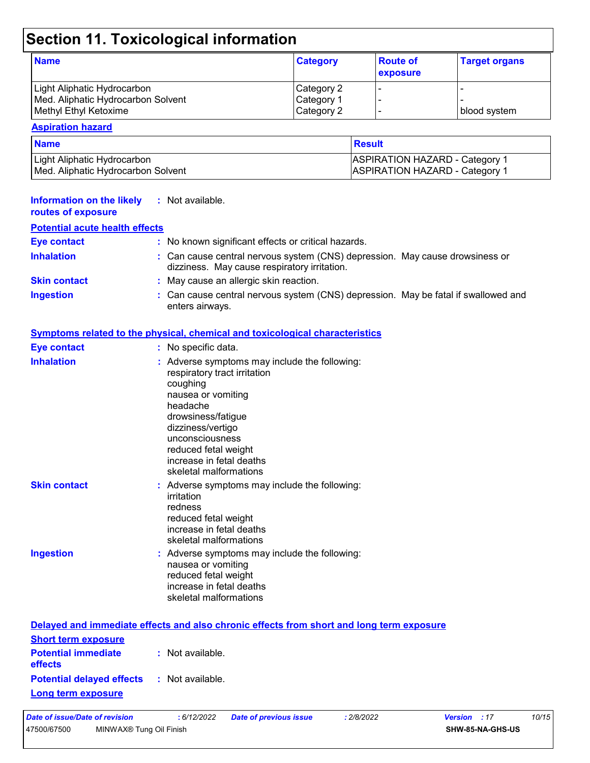# **Section 11. Toxicological information**

| <b>Name</b>                        | <b>Category</b> | <b>Route of</b><br>exposure | <b>Target organs</b> |
|------------------------------------|-----------------|-----------------------------|----------------------|
| Light Aliphatic Hydrocarbon        | Category 2      |                             |                      |
| Med. Aliphatic Hydrocarbon Solvent | Category 1      |                             |                      |
| Methyl Ethyl Ketoxime              | Category 2      |                             | I blood svstem       |

#### **Aspiration hazard**

| <b>Name</b>                        | <b>Result</b>                         |
|------------------------------------|---------------------------------------|
| Light Aliphatic Hydrocarbon_       | <b>ASPIRATION HAZARD - Category 1</b> |
| Med. Aliphatic Hydrocarbon Solvent | <b>ASPIRATION HAZARD - Category 1</b> |

| <b>Information on the likely</b><br>routes of exposure | : Not available.                                                                                                                                                                                                                                                        |
|--------------------------------------------------------|-------------------------------------------------------------------------------------------------------------------------------------------------------------------------------------------------------------------------------------------------------------------------|
| <b>Potential acute health effects</b>                  |                                                                                                                                                                                                                                                                         |
| <b>Eye contact</b>                                     | : No known significant effects or critical hazards.                                                                                                                                                                                                                     |
| <b>Inhalation</b>                                      | : Can cause central nervous system (CNS) depression. May cause drowsiness or<br>dizziness. May cause respiratory irritation.                                                                                                                                            |
| <b>Skin contact</b>                                    | : May cause an allergic skin reaction.                                                                                                                                                                                                                                  |
| <b>Ingestion</b>                                       | : Can cause central nervous system (CNS) depression. May be fatal if swallowed and<br>enters airways.                                                                                                                                                                   |
|                                                        | <b>Symptoms related to the physical, chemical and toxicological characteristics</b>                                                                                                                                                                                     |
| <b>Eye contact</b>                                     | : No specific data.                                                                                                                                                                                                                                                     |
| <b>Inhalation</b>                                      | : Adverse symptoms may include the following:<br>respiratory tract irritation<br>coughing<br>nausea or vomiting<br>headache<br>drowsiness/fatigue<br>dizziness/vertigo<br>unconsciousness<br>reduced fetal weight<br>increase in fetal deaths<br>skeletal malformations |
| <b>Skin contact</b>                                    | : Adverse symptoms may include the following:<br>irritation<br>redness<br>reduced fetal weight<br>increase in fetal deaths<br>skeletal malformations                                                                                                                    |
| <b>Ingestion</b>                                       | : Adverse symptoms may include the following:<br>nausea or vomiting<br>reduced fetal weight<br>increase in fetal deaths<br>skeletal malformations                                                                                                                       |
|                                                        | Delayed and immediate effects and also chronic effects from short and long term exposure                                                                                                                                                                                |
| <b>Short term exposure</b>                             |                                                                                                                                                                                                                                                                         |
| <b>Potential immediate</b><br>effects                  | : Not available.                                                                                                                                                                                                                                                        |

### **Potential delayed effects :** Not available.

**Long term exposure**

| Date of issue/Date of revision |                                     | 6/12/2022 | <b>Date of previous issue</b> | 2/8/2022 | <b>Version</b> : 17 |                  | 10/15 |  |
|--------------------------------|-------------------------------------|-----------|-------------------------------|----------|---------------------|------------------|-------|--|
| 47500/67500                    | MINWAX <sup>®</sup> Tung Oil Finish |           |                               |          |                     | SHW-85-NA-GHS-US |       |  |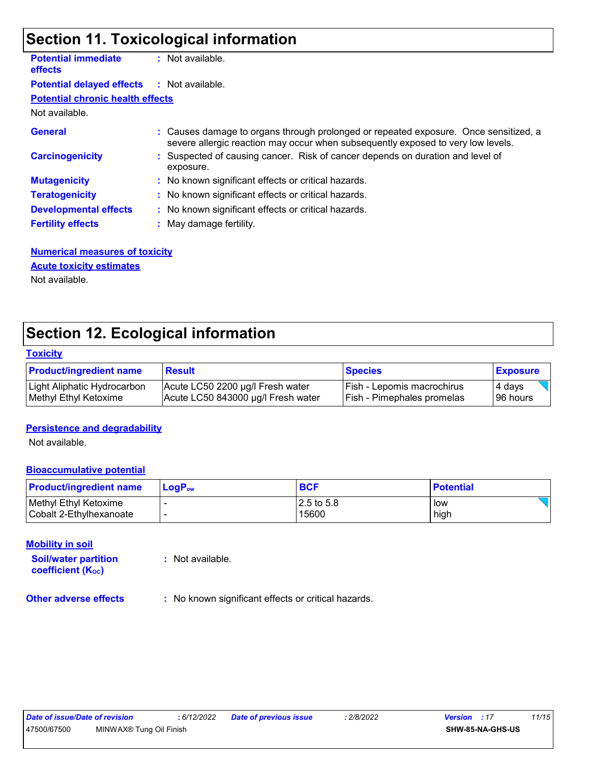# **Section 11. Toxicological information**

| <b>Potential immediate</b><br><b>effects</b> | $:$ Not available.                                                                                                                                                       |
|----------------------------------------------|--------------------------------------------------------------------------------------------------------------------------------------------------------------------------|
| <b>Potential delayed effects</b>             | : Not available.                                                                                                                                                         |
| <b>Potential chronic health effects</b>      |                                                                                                                                                                          |
| Not available.                               |                                                                                                                                                                          |
| <b>General</b>                               | : Causes damage to organs through prolonged or repeated exposure. Once sensitized, a<br>severe allergic reaction may occur when subsequently exposed to very low levels. |
| <b>Carcinogenicity</b>                       | : Suspected of causing cancer. Risk of cancer depends on duration and level of<br>exposure.                                                                              |
| <b>Mutagenicity</b>                          | : No known significant effects or critical hazards.                                                                                                                      |
| <b>Teratogenicity</b>                        | : No known significant effects or critical hazards.                                                                                                                      |
| <b>Developmental effects</b>                 | : No known significant effects or critical hazards.                                                                                                                      |
| <b>Fertility effects</b>                     | : May damage fertility.                                                                                                                                                  |
|                                              |                                                                                                                                                                          |

#### **Numerical measures of toxicity** Not available. **Acute toxicity estimates**

# **Section 12. Ecological information**

#### **Toxicity**

| <b>Product/ingredient name</b> | <b>Result</b>                      | <b>Species</b>                    | <b>Exposure</b> |
|--------------------------------|------------------------------------|-----------------------------------|-----------------|
| Light Aliphatic Hydrocarbon    | Acute LC50 2200 µg/l Fresh water   | l Fish - Lepomis macrochirus      | 4 davs          |
| Methyl Ethyl Ketoxime          | Acute LC50 843000 µg/l Fresh water | <b>Fish - Pimephales promelas</b> | 196 hours       |

#### **Persistence and degradability**

Not available.

#### **Bioaccumulative potential**

| <b>Product/ingredient name</b> | $\mathsf{LogP}_\mathsf{ow}$ | <b>BCF</b>    | <b>Potential</b> |
|--------------------------------|-----------------------------|---------------|------------------|
| Methyl Ethyl Ketoxime          |                             | $12.5$ to 5.8 | low              |
| l Cobalt 2-Ethvlhexanoate      | -                           | 15600         | high             |

#### **Mobility in soil**

**Soil/water partition coefficient (KOC)**

**:** Not available.

**Other adverse effects** : No known significant effects or critical hazards.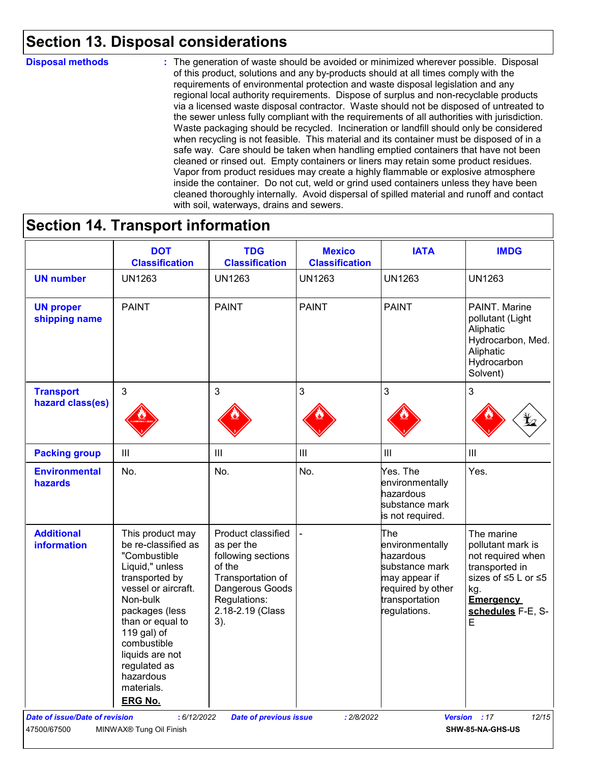### **Section 13. Disposal considerations**

#### **Disposal methods :**

The generation of waste should be avoided or minimized wherever possible. Disposal of this product, solutions and any by-products should at all times comply with the requirements of environmental protection and waste disposal legislation and any regional local authority requirements. Dispose of surplus and non-recyclable products via a licensed waste disposal contractor. Waste should not be disposed of untreated to the sewer unless fully compliant with the requirements of all authorities with jurisdiction. Waste packaging should be recycled. Incineration or landfill should only be considered when recycling is not feasible. This material and its container must be disposed of in a safe way. Care should be taken when handling emptied containers that have not been cleaned or rinsed out. Empty containers or liners may retain some product residues. Vapor from product residues may create a highly flammable or explosive atmosphere inside the container. Do not cut, weld or grind used containers unless they have been cleaned thoroughly internally. Avoid dispersal of spilled material and runoff and contact with soil, waterways, drains and sewers.

### **Section 14. Transport information**

|                                         | <b>DOT</b><br><b>Classification</b>                                                                                                                                                                                                                               | <b>TDG</b><br><b>Classification</b>                                                                                                                    | <b>Mexico</b><br><b>Classification</b> | <b>IATA</b>                                                                                                                   | <b>IMDG</b>                                                                                                                                                  |
|-----------------------------------------|-------------------------------------------------------------------------------------------------------------------------------------------------------------------------------------------------------------------------------------------------------------------|--------------------------------------------------------------------------------------------------------------------------------------------------------|----------------------------------------|-------------------------------------------------------------------------------------------------------------------------------|--------------------------------------------------------------------------------------------------------------------------------------------------------------|
| <b>UN number</b>                        | <b>UN1263</b>                                                                                                                                                                                                                                                     | <b>UN1263</b>                                                                                                                                          | <b>UN1263</b>                          | <b>UN1263</b>                                                                                                                 | <b>UN1263</b>                                                                                                                                                |
| <b>UN proper</b><br>shipping name       | <b>PAINT</b>                                                                                                                                                                                                                                                      | <b>PAINT</b>                                                                                                                                           | <b>PAINT</b>                           | <b>PAINT</b>                                                                                                                  | PAINT. Marine<br>pollutant (Light<br>Aliphatic<br>Hydrocarbon, Med.<br>Aliphatic<br>Hydrocarbon<br>Solvent)                                                  |
| <b>Transport</b><br>hazard class(es)    | 3                                                                                                                                                                                                                                                                 | 3                                                                                                                                                      | 3                                      | 3                                                                                                                             | 3                                                                                                                                                            |
| <b>Packing group</b>                    | III                                                                                                                                                                                                                                                               | $\mathbf{III}$                                                                                                                                         | $\ensuremath{\mathsf{III}}\xspace$     | III                                                                                                                           | $\mathbf{III}$                                                                                                                                               |
| <b>Environmental</b><br>hazards         | No.                                                                                                                                                                                                                                                               | No.                                                                                                                                                    | No.                                    | Yes. The<br>environmentally<br>hazardous<br>substance mark<br>is not required.                                                | Yes.                                                                                                                                                         |
| <b>Additional</b><br><b>information</b> | This product may<br>be re-classified as<br>"Combustible<br>Liquid," unless<br>transported by<br>vessel or aircraft.<br>Non-bulk<br>packages (less<br>than or equal to<br>119 gal) of<br>combustible<br>liquids are not<br>regulated as<br>hazardous<br>materials. | Product classified<br>as per the<br>following sections<br>of the<br>Transportation of<br>Dangerous Goods<br>Regulations:<br>2.18-2.19 (Class<br>$3)$ . |                                        | The<br>environmentally<br>hazardous<br>substance mark<br>may appear if<br>required by other<br>transportation<br>regulations. | The marine<br>pollutant mark is<br>not required when<br>transported in<br>sizes of ≤5 L or ≤5<br>kg.<br><b>Emergency</b><br>schedules F-E, S-<br>$\mathsf E$ |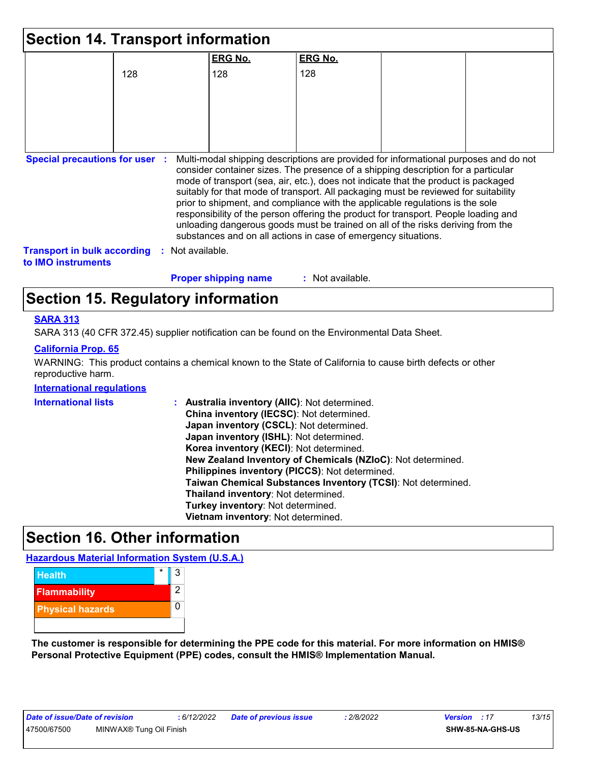|                                                                 |     | <b>Section 14. Transport information</b> |                                                                                                                                                                                                                                                                                                                                                                                                                                                                                                                                                                                                                                                                                     |  |
|-----------------------------------------------------------------|-----|------------------------------------------|-------------------------------------------------------------------------------------------------------------------------------------------------------------------------------------------------------------------------------------------------------------------------------------------------------------------------------------------------------------------------------------------------------------------------------------------------------------------------------------------------------------------------------------------------------------------------------------------------------------------------------------------------------------------------------------|--|
|                                                                 |     | <b>ERG No.</b>                           | <b>ERG No.</b>                                                                                                                                                                                                                                                                                                                                                                                                                                                                                                                                                                                                                                                                      |  |
|                                                                 | 128 | 128                                      | 128                                                                                                                                                                                                                                                                                                                                                                                                                                                                                                                                                                                                                                                                                 |  |
|                                                                 |     |                                          |                                                                                                                                                                                                                                                                                                                                                                                                                                                                                                                                                                                                                                                                                     |  |
|                                                                 |     |                                          |                                                                                                                                                                                                                                                                                                                                                                                                                                                                                                                                                                                                                                                                                     |  |
|                                                                 |     |                                          |                                                                                                                                                                                                                                                                                                                                                                                                                                                                                                                                                                                                                                                                                     |  |
|                                                                 |     |                                          |                                                                                                                                                                                                                                                                                                                                                                                                                                                                                                                                                                                                                                                                                     |  |
| <b>Special precautions for user :</b>                           |     |                                          | Multi-modal shipping descriptions are provided for informational purposes and do not<br>consider container sizes. The presence of a shipping description for a particular<br>mode of transport (sea, air, etc.), does not indicate that the product is packaged<br>suitably for that mode of transport. All packaging must be reviewed for suitability<br>prior to shipment, and compliance with the applicable regulations is the sole<br>responsibility of the person offering the product for transport. People loading and<br>unloading dangerous goods must be trained on all of the risks deriving from the<br>substances and on all actions in case of emergency situations. |  |
| <b>Transport in bulk according</b><br>to <b>IMO</b> instruments |     | : Not available.                         |                                                                                                                                                                                                                                                                                                                                                                                                                                                                                                                                                                                                                                                                                     |  |
|                                                                 |     | <b>Proper shipping name</b>              | : Not available.                                                                                                                                                                                                                                                                                                                                                                                                                                                                                                                                                                                                                                                                    |  |

# **Section 15. Regulatory information**

#### **SARA 313**

SARA 313 (40 CFR 372.45) supplier notification can be found on the Environmental Data Sheet.

#### **California Prop. 65**

WARNING: This product contains a chemical known to the State of California to cause birth defects or other reproductive harm.

#### **International regulations**

| <b>International lists</b> | : Australia inventory (AIIC): Not determined.                |
|----------------------------|--------------------------------------------------------------|
|                            | China inventory (IECSC): Not determined.                     |
|                            | Japan inventory (CSCL): Not determined.                      |
|                            | Japan inventory (ISHL): Not determined.                      |
|                            | Korea inventory (KECI): Not determined.                      |
|                            | New Zealand Inventory of Chemicals (NZIoC): Not determined.  |
|                            | Philippines inventory (PICCS): Not determined.               |
|                            | Taiwan Chemical Substances Inventory (TCSI): Not determined. |
|                            | Thailand inventory: Not determined.                          |
|                            | Turkey inventory: Not determined.                            |
|                            | Vietnam inventory: Not determined.                           |

# **Section 16. Other information**

**Hazardous Material Information System (U.S.A.)**



**The customer is responsible for determining the PPE code for this material. For more information on HMIS® Personal Protective Equipment (PPE) codes, consult the HMIS® Implementation Manual.**